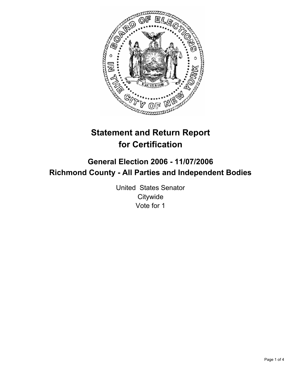

# **Statement and Return Report for Certification**

## **General Election 2006 - 11/07/2006 Richmond County - All Parties and Independent Bodies**

United States Senator **Citywide** Vote for 1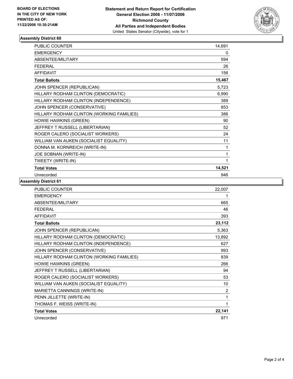

#### **Assembly District 60**

| <b>PUBLIC COUNTER</b>                     | 14,691 |
|-------------------------------------------|--------|
| <b>EMERGENCY</b>                          | 0      |
| ABSENTEE/MILITARY                         | 594    |
| <b>FEDERAL</b>                            | 26     |
| <b>AFFIDAVIT</b>                          | 156    |
| <b>Total Ballots</b>                      | 15,467 |
| JOHN SPENCER (REPUBLICAN)                 | 5,723  |
| HILLARY RODHAM CLINTON (DEMOCRATIC)       | 6,990  |
| HILLARY RODHAM CLINTON (INDEPENDENCE)     | 389    |
| JOHN SPENCER (CONSERVATIVE)               | 853    |
| HILLARY RODHAM CLINTON (WORKING FAMILIES) | 386    |
| <b>HOWIE HAWKINS (GREEN)</b>              | 90     |
| JEFFREY T RUSSELL (LIBERTARIAN)           | 52     |
| ROGER CALERO (SOCIALIST WORKERS)          | 24     |
| WILLIAM VAN AUKEN (SOCIALIST EQUALITY)    | 11     |
| DONNA M. KORNREICH (WRITE-IN)             | 1      |
| JOE SOBNAN (WRITE-IN)                     | 1      |
| TWEETY (WRITE-IN)                         | 1      |
| <b>Total Votes</b>                        | 14,521 |
| Unrecorded                                | 946    |

**Assembly District 61**

| <b>PUBLIC COUNTER</b>                     | 22,007 |
|-------------------------------------------|--------|
| <b>EMERGENCY</b>                          |        |
| ABSENTEE/MILITARY                         | 665    |
| <b>FEDERAL</b>                            | 46     |
| <b>AFFIDAVIT</b>                          | 393    |
| <b>Total Ballots</b>                      | 23,112 |
| JOHN SPENCER (REPUBLICAN)                 | 5,363  |
| HILLARY RODHAM CLINTON (DEMOCRATIC)       | 13,892 |
| HILLARY RODHAM CLINTON (INDEPENDENCE)     | 627    |
| JOHN SPENCER (CONSERVATIVE)               | 993    |
| HILLARY RODHAM CLINTON (WORKING FAMILIES) | 839    |
| <b>HOWIE HAWKINS (GREEN)</b>              | 266    |
| JEFFREY T RUSSELL (LIBERTARIAN)           | 94     |
| ROGER CALERO (SOCIALIST WORKERS)          | 53     |
| WILLIAM VAN AUKEN (SOCIALIST EQUALITY)    | 10     |
| MARIETTA CANNINGS (WRITE-IN)              | 2      |
| PENN JILLETTE (WRITE-IN)                  |        |
| THOMAS F. WEISS (WRITE-IN)                |        |
| <b>Total Votes</b>                        | 22,141 |
| Unrecorded                                | 971    |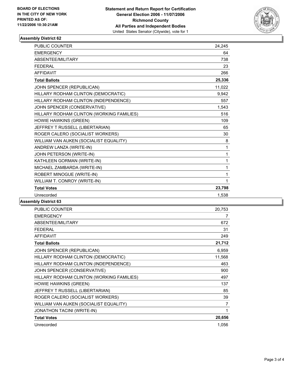

#### **Assembly District 62**

| <b>PUBLIC COUNTER</b>                     | 24,245       |
|-------------------------------------------|--------------|
| <b>EMERGENCY</b>                          | 64           |
| ABSENTEE/MILITARY                         | 738          |
| <b>FEDERAL</b>                            | 23           |
| <b>AFFIDAVIT</b>                          | 266          |
| <b>Total Ballots</b>                      | 25,336       |
| JOHN SPENCER (REPUBLICAN)                 | 11,022       |
| HILLARY RODHAM CLINTON (DEMOCRATIC)       | 9,942        |
| HILLARY RODHAM CLINTON (INDEPENDENCE)     | 557          |
| JOHN SPENCER (CONSERVATIVE)               | 1,543        |
| HILLARY RODHAM CLINTON (WORKING FAMILIES) | 516          |
| HOWIE HAWKINS (GREEN)                     | 109          |
| JEFFREY T RUSSELL (LIBERTARIAN)           | 65           |
| ROGER CALERO (SOCIALIST WORKERS)          | 30           |
| WILLIAM VAN AUKEN (SOCIALIST EQUALITY)    | 8            |
| ANDREW LANZA (WRITE-IN)                   | $\mathbf{1}$ |
| JOHN PETERSON (WRITE-IN)                  | 1            |
| KATHLEEN GORMAN (WRITE-IN)                | 1            |
| MICHAEL ZAMBARDA (WRITE-IN)               | 1            |
| ROBERT MINOGUE (WRITE-IN)                 | 1            |
| WILLIAM T. CONROY (WRITE-IN)              | 1            |
| <b>Total Votes</b>                        | 23,798       |
| Unrecorded                                | 1,538        |

### **Assembly District 63**

| <b>PUBLIC COUNTER</b>                     | 20,753 |
|-------------------------------------------|--------|
| <b>EMERGENCY</b>                          | 7      |
| ABSENTEE/MILITARY                         | 672    |
| <b>FEDERAL</b>                            | 31     |
| <b>AFFIDAVIT</b>                          | 249    |
| <b>Total Ballots</b>                      | 21,712 |
| JOHN SPENCER (REPUBLICAN)                 | 6,959  |
| HILLARY RODHAM CLINTON (DEMOCRATIC)       | 11,568 |
| HILLARY RODHAM CLINTON (INDEPENDENCE)     | 463    |
| JOHN SPENCER (CONSERVATIVE)               | 900    |
| HILLARY RODHAM CLINTON (WORKING FAMILIES) | 497    |
| <b>HOWIE HAWKINS (GREEN)</b>              | 137    |
| JEFFREY T RUSSELL (LIBERTARIAN)           | 85     |
| ROGER CALERO (SOCIALIST WORKERS)          | 39     |
| WILLIAM VAN AUKEN (SOCIALIST EQUALITY)    | 7      |
| JONATHON TACINI (WRITE-IN)                |        |
| <b>Total Votes</b>                        | 20,656 |
| Unrecorded                                | 1,056  |